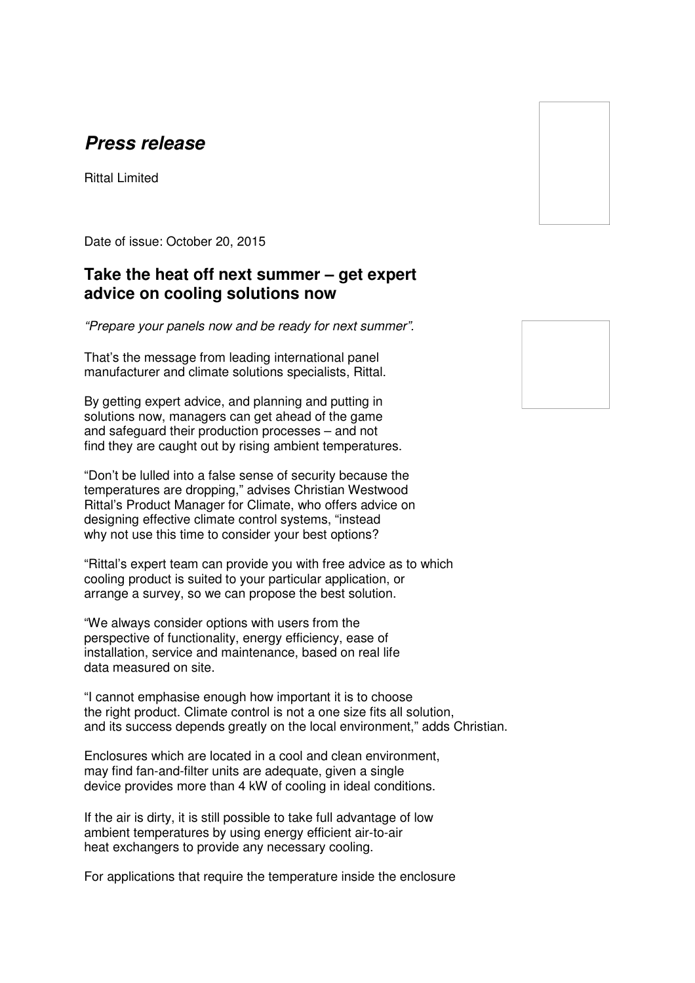## **Press release**

Rittal Limited

Date of issue: October 20, 2015

## **Take the heat off next summer – get expert advice on cooling solutions now**

"Prepare your panels now and be ready for next summer".

That's the message from leading international panel manufacturer and climate solutions specialists, Rittal.

By getting expert advice, and planning and putting in solutions now, managers can get ahead of the game and safeguard their production processes – and not find they are caught out by rising ambient temperatures.

"Don't be lulled into a false sense of security because the temperatures are dropping," advises Christian Westwood Rittal's Product Manager for Climate, who offers advice on designing effective climate control systems, "instead why not use this time to consider your best options?

"Rittal's expert team can provide you with free advice as to which cooling product is suited to your particular application, or arrange a survey, so we can propose the best solution.

"We always consider options with users from the perspective of functionality, energy efficiency, ease of installation, service and maintenance, based on real life data measured on site.

"I cannot emphasise enough how important it is to choose the right product. Climate control is not a one size fits all solution, and its success depends greatly on the local environment," adds Christian.

Enclosures which are located in a cool and clean environment, may find fan-and-filter units are adequate, given a single device provides more than 4 kW of cooling in ideal conditions.

If the air is dirty, it is still possible to take full advantage of low ambient temperatures by using energy efficient air-to-air heat exchangers to provide any necessary cooling.

For applications that require the temperature inside the enclosure